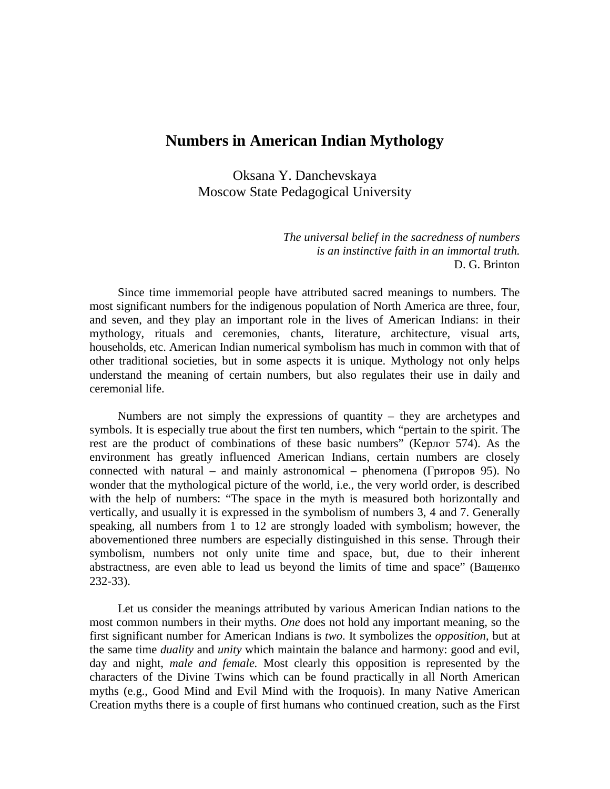## **Numbers in American Indian Mythology**

Oksana Y. Danchevskaya Moscow State Pedagogical University

> *The universal belief in the sacredness of numbers is an instinctive faith in an immortal truth.* D. G. Brinton

Since time immemorial people have attributed sacred meanings to numbers. The most significant numbers for the indigenous population of North America are three, four, and seven, and they play an important role in the lives of American Indians: in their mythology, rituals and ceremonies, chants, literature, architecture, visual arts, households, etc. American Indian numerical symbolism has much in common with that of other traditional societies, but in some aspects it is unique. Mythology not only helps understand the meaning of certain numbers, but also regulates their use in daily and ceremonial life.

Numbers are not simply the expressions of quantity – they are archetypes and symbols. It is especially true about the first ten numbers, which "pertain to the spirit. The rest are the product of combinations of these basic numbers" (Керлот 574). As the environment has greatly influenced American Indians, certain numbers are closely connected with natural – and mainly astronomical – phenomena (Григоров 95). No wonder that the mythological picture of the world, i.e., the very world order, is described with the help of numbers: "The space in the myth is measured both horizontally and vertically, and usually it is expressed in the symbolism of numbers 3, 4 and 7. Generally speaking, all numbers from 1 to 12 are strongly loaded with symbolism; however, the abovementioned three numbers are especially distinguished in this sense. Through their symbolism, numbers not only unite time and space, but, due to their inherent abstractness, are even able to lead us beyond the limits of time and space" (Ващенко 232-33).

Let us consider the meanings attributed by various American Indian nations to the most common numbers in their myths. *One* does not hold any important meaning, so the first significant number for American Indians is *two*. It symbolizes the *opposition*, but at the same time *duality* and *unity* which maintain the balance and harmony: good and evil, day and night, *male and female.* Most clearly this opposition is represented by the characters of the Divine Twins which can be found practically in all North American myths (e.g., Good Mind and Evil Mind with the Iroquois). In many Native American Creation myths there is a couple of first humans who continued creation, such as the First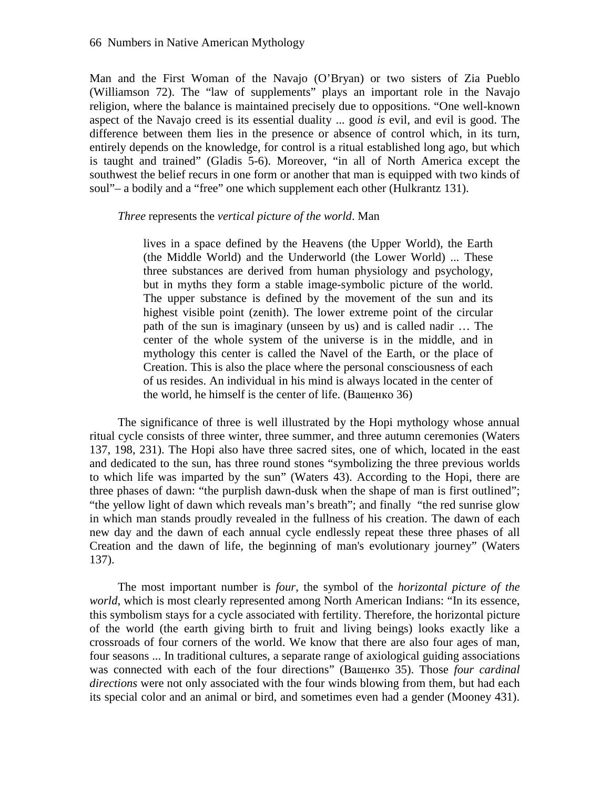Man and the First Woman of the Navajo (O'Bryan) or two sisters of Zia Pueblo (Williamson 72). The "law of supplements" plays an important role in the Navajo religion, where the balance is maintained precisely due to oppositions. "One well-known aspect of the Navajo creed is its essential duality ... good *is* evil, and evil is good. The difference between them lies in the presence or absence of control which, in its turn, entirely depends on the knowledge, for control is a ritual established long ago, but which is taught and trained" (Gladis 5-6). Moreover, "in all of North America except the southwest the belief recurs in one form or another that man is equipped with two kinds of soul"– a bodily and a "free" one which supplement each other (Hulkrantz 131).

## *Three* represents the *vertical picture of the world*. Man

lives in a space defined by the Heavens (the Upper World), the Earth (the Middle World) and the Underworld (the Lower World) ... These three substances are derived from human physiology and psychology, but in myths they form a stable image-symbolic picture of the world. The upper substance is defined by the movement of the sun and its highest visible point (zenith). The lower extreme point of the circular path of the sun is imaginary (unseen by us) and is called nadir … The center of the whole system of the universe is in the middle, and in mythology this center is called the Navel of the Earth, or the place of Creation. This is also the place where the personal consciousness of each of us resides. An individual in his mind is always located in the center of the world, he himself is the center of life. (Ващенко 36)

The significance of three is well illustrated by the Hopi mythology whose annual ritual cycle consists of three winter, three summer, and three autumn ceremonies (Waters 137, 198, 231). The Hopi also have three sacred sites, one of which, located in the east and dedicated to the sun, has three round stones "symbolizing the three previous worlds to which life was imparted by the sun" (Waters 43). According to the Hopi, there are three phases of dawn: "the purplish dawn-dusk when the shape of man is first outlined"; "the yellow light of dawn which reveals man's breath"; and finally "the red sunrise glow in which man stands proudly revealed in the fullness of his creation. The dawn of each new day and the dawn of each annual cycle endlessly repeat these three phases of all Creation and the dawn of life, the beginning of man's evolutionary journey" (Waters 137).

The most important number is *four*, the symbol of the *horizontal picture of the world*, which is most clearly represented among North American Indians: "In its essence, this symbolism stays for a cycle associated with fertility. Therefore, the horizontal picture of the world (the earth giving birth to fruit and living beings) looks exactly like a crossroads of four corners of the world. We know that there are also four ages of man, four seasons ... In traditional cultures, a separate range of axiological guiding associations was connected with each of the four directions" (Ващенко 35). Those *four cardinal directions* were not only associated with the four winds blowing from them, but had each its special color and an animal or bird, and sometimes even had a gender (Mooney 431).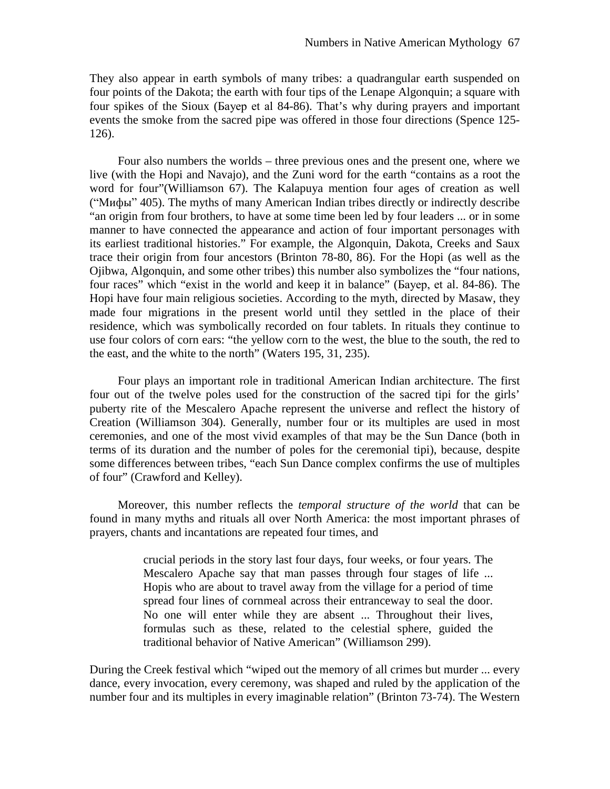They also appear in earth symbols of many tribes: a quadrangular earth suspended on four points of the Dakota; the earth with four tips of the Lenape Algonquin; a square with four spikes of the Sioux (Бауер et al 84-86). That's why during prayers and important events the smoke from the sacred pipe was offered in those four directions (Spence 125- 126).

Four also numbers the worlds – three previous ones and the present one, where we live (with the Hopi and Navajo), and the Zuni word for the earth "contains as a root the word for four"(Williamson 67). The Kalapuya mention four ages of creation as well ("Мифы" 405). The myths of many American Indian tribes directly or indirectly describe "an origin from four brothers, to have at some time been led by four leaders ... or in some manner to have connected the appearance and action of four important personages with its earliest traditional histories." For example, the Algonquin, Dakota, Creeks and Saux trace their origin from four ancestors (Brinton 78-80, 86). For the Hopi (as well as the Ojibwa, Algonquin, and some other tribes) this number also symbolizes the "four nations, four races" which "exist in the world and keep it in balance" (*Sayep*, et al. 84-86). The Hopi have four main religious societies. According to the myth, directed by Masaw, they made four migrations in the present world until they settled in the place of their residence, which was symbolically recorded on four tablets. In rituals they continue to use four colors of corn ears: "the yellow corn to the west, the blue to the south, the red to the east, and the white to the north" (Waters 195, 31, 235).

Four plays an important role in traditional American Indian architecture. The first four out of the twelve poles used for the construction of the sacred tipi for the girls' puberty rite of the Mescalero Apache represent the universe and reflect the history of Creation (Williamson 304). Generally, number four or its multiples are used in most ceremonies, and one of the most vivid examples of that may be the Sun Dance (both in terms of its duration and the number of poles for the ceremonial tipi), because, despite some differences between tribes, "each Sun Dance complex confirms the use of multiples of four" (Crawford and Kelley).

Moreover, this number reflects the *temporal structure of the world* that can be found in many myths and rituals all over North America: the most important phrases of prayers, chants and incantations are repeated four times, and

> crucial periods in the story last four days, four weeks, or four years. The Mescalero Apache say that man passes through four stages of life ... Hopis who are about to travel away from the village for a period of time spread four lines of cornmeal across their entranceway to seal the door. No one will enter while they are absent ... Throughout their lives, formulas such as these, related to the celestial sphere, guided the traditional behavior of Native American" (Williamson 299).

During the Creek festival which "wiped out the memory of all crimes but murder ... every dance, every invocation, every ceremony, was shaped and ruled by the application of the number four and its multiples in every imaginable relation" (Brinton 73-74). The Western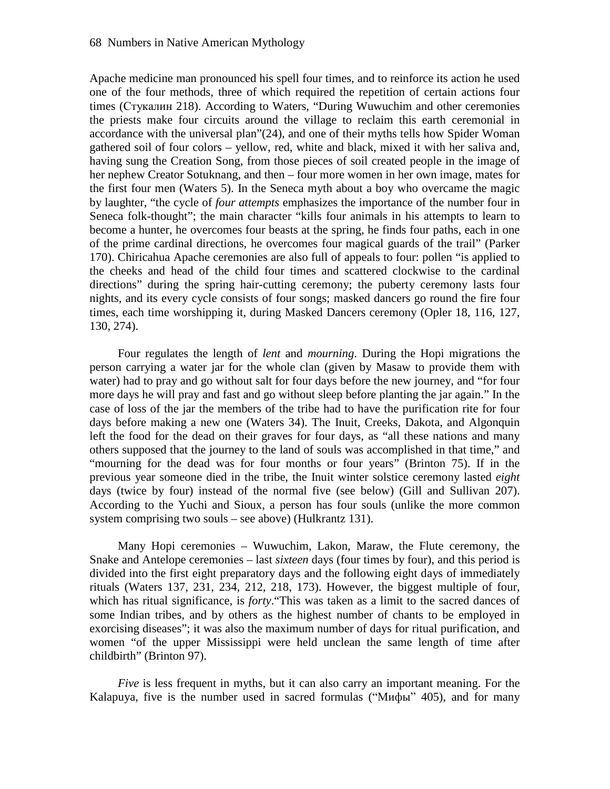Apache medicine man pronounced his spell four times, and to reinforce its action he used one of the four methods, three of which required the repetition of certain actions four times (Стукалин 218). According to Waters, "During Wuwuchim and other ceremonies the priests make four circuits around the village to reclaim this earth ceremonial in accordance with the universal plan"(24), and one of their myths tells how Spider Woman gathered soil of four colors – yellow, red, white and black, mixed it with her saliva and, having sung the Creation Song, from those pieces of soil created people in the image of her nephew Creator Sotuknang, and then – four more women in her own image, mates for the first four men (Waters 5). In the Seneca myth about a boy who overcame the magic by laughter, "the cycle of *four attempts* emphasizes the importance of the number four in Seneca folk-thought"; the main character "kills four animals in his attempts to learn to become a hunter, he overcomes four beasts at the spring, he finds four paths, each in one of the prime cardinal directions, he overcomes four magical guards of the trail" (Parker 170). Chiricahua Apache ceremonies are also full of appeals to four: pollen "is applied to the cheeks and head of the child four times and scattered clockwise to the cardinal directions" during the spring hair-cutting ceremony; the puberty ceremony lasts four nights, and its every cycle consists of four songs; masked dancers go round the fire four times, each time worshipping it, during Masked Dancers ceremony (Opler 18, 116, 127, 130, 274).

Four regulates the length of *lent* and *mourning*. During the Hopi migrations the person carrying a water jar for the whole clan (given by Masaw to provide them with water) had to pray and go without salt for four days before the new journey, and "for four more days he will pray and fast and go without sleep before planting the jar again." In the case of loss of the jar the members of the tribe had to have the purification rite for four days before making a new one (Waters 34). The Inuit, Creeks, Dakota, and Algonquin left the food for the dead on their graves for four days, as "all these nations and many others supposed that the journey to the land of souls was accomplished in that time," and "mourning for the dead was for four months or four years" (Brinton 75). If in the previous year someone died in the tribe, the Inuit winter solstice ceremony lasted *eight*  days (twice by four) instead of the normal five (see below) (Gill and Sullivan 207). According to the Yuchi and Sioux, a person has four souls (unlike the more common system comprising two souls – see above) (Hulkrantz 131).

Many Hopi ceremonies – Wuwuchim, Lakon, Maraw, the Flute ceremony, the Snake and Antelope ceremonies – last *sixteen* days (four times by four), and this period is divided into the first eight preparatory days and the following eight days of immediately rituals (Waters 137, 231, 234, 212, 218, 173). However, the biggest multiple of four, which has ritual significance, is *forty*."This was taken as a limit to the sacred dances of some Indian tribes, and by others as the highest number of chants to be employed in exorcising diseases"; it was also the maximum number of days for ritual purification, and women "of the upper Mississippi were held unclean the same length of time after childbirth" (Brinton 97).

*Five* is less frequent in myths, but it can also carry an important meaning. For the Kalapuya, five is the number used in sacred formulas ("Мифы" 405), and for many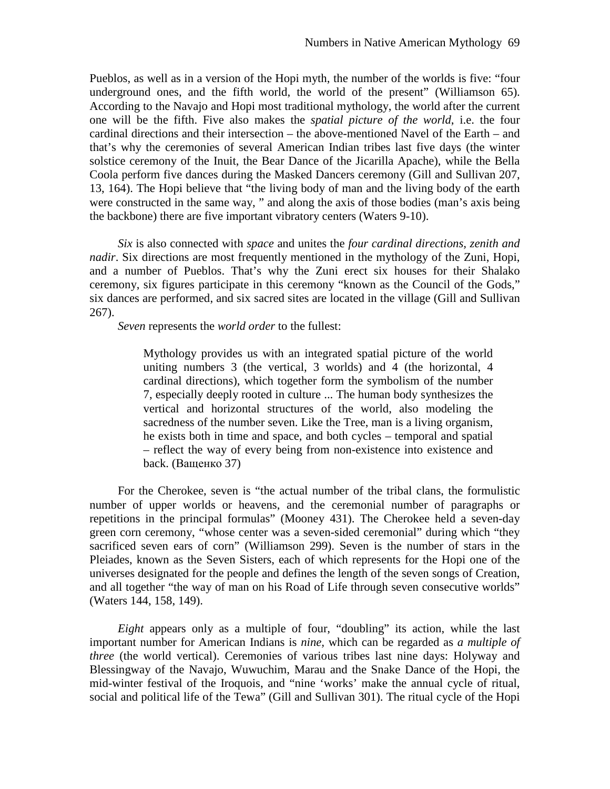Pueblos, as well as in a version of the Hopi myth, the number of the worlds is five: "four underground ones, and the fifth world, the world of the present" (Williamson 65). According to the Navajo and Hopi most traditional mythology, the world after the current one will be the fifth. Five also makes the *spatial picture of the world*, i.e. the four cardinal directions and their intersection – the above-mentioned Navel of the Earth – and that's why the ceremonies of several American Indian tribes last five days (the winter solstice ceremony of the Inuit, the Bear Dance of the Jicarilla Apache), while the Bella Coola perform five dances during the Masked Dancers ceremony (Gill and Sullivan 207, 13, 164). The Hopi believe that "the living body of man and the living body of the earth were constructed in the same way, " and along the axis of those bodies (man's axis being the backbone) there are five important vibratory centers (Waters 9-10).

*Six* is also connected with *space* and unites the *four cardinal directions, zenith and nadir*. Six directions are most frequently mentioned in the mythology of the Zuni, Hopi, and a number of Pueblos. That's why the Zuni erect six houses for their Shalako ceremony, six figures participate in this ceremony "known as the Council of the Gods," six dances are performed, and six sacred sites are located in the village (Gill and Sullivan 267).

*Seven* represents the *world order* to the fullest:

Mythology provides us with an integrated spatial picture of the world uniting numbers 3 (the vertical, 3 worlds) and 4 (the horizontal, 4 cardinal directions), which together form the symbolism of the number 7, especially deeply rooted in culture ... The human body synthesizes the vertical and horizontal structures of the world, also modeling the sacredness of the number seven. Like the Tree, man is a living organism, he exists both in time and space, and both cycles – temporal and spatial – reflect the way of every being from non-existence into existence and back. (Ващенко 37)

For the Cherokee, seven is "the actual number of the tribal clans, the formulistic number of upper worlds or heavens, and the ceremonial number of paragraphs or repetitions in the principal formulas" (Mooney 431). The Cherokee held a seven-day green corn ceremony, "whose center was a seven-sided ceremonial" during which "they sacrificed seven ears of corn" (Williamson 299). Seven is the number of stars in the Pleiades, known as the Seven Sisters, each of which represents for the Hopi one of the universes designated for the people and defines the length of the seven songs of Creation, and all together "the way of man on his Road of Life through seven consecutive worlds" (Waters 144, 158, 149).

*Eight* appears only as a multiple of four, "doubling" its action, while the last important number for American Indians is *nine,* which can be regarded as *a multiple of three* (the world vertical). Ceremonies of various tribes last nine days: Holyway and Blessingway of the Navajo, Wuwuchim, Marau and the Snake Dance of the Hopi, the mid-winter festival of the Iroquois, and "nine 'works' make the annual cycle of ritual, social and political life of the Tewa" (Gill and Sullivan 301). The ritual cycle of the Hopi